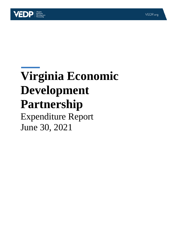

# **Virginia Economic Development Partnership** Expenditure Report

June 30, 2021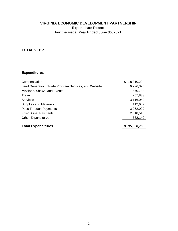# **TOTAL VEDP**

| Compensation                                         | \$ | 18,310,294 |
|------------------------------------------------------|----|------------|
| Lead Generation, Trade Program Services, and Website |    | 6,976,375  |
| Missions, Shows, and Events                          |    | 570,788    |
| Travel                                               |    | 257,833    |
| <b>Services</b>                                      |    | 3,116,042  |
| <b>Supplies and Materials</b>                        |    | 112,687    |
| Pass Through Payments                                |    | 3,062,092  |
| <b>Fixed Asset Payments</b>                          |    | 2,318,518  |
| <b>Other Expenditures</b>                            |    | 362,140    |
|                                                      |    |            |
| <b>Total Expenditures</b>                            | S  | 35,086,769 |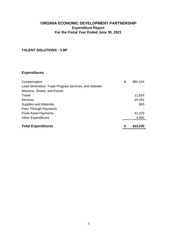#### **TALENT SOLUTIONS - VJIP**

| Compensation                                         | \$<br>850,104 |
|------------------------------------------------------|---------------|
| Lead Generation, Trade Program Services, and Website |               |
| Missions, Shows, and Events                          |               |
| Travel                                               | 11,824        |
| Services                                             | 24,291        |
| <b>Supplies and Materials</b>                        | 693           |
| Pass Through Payments                                |               |
| <b>Fixed Asset Payments</b>                          | 41,223        |
| <b>Other Expenditures</b>                            | 4,900         |
|                                                      |               |
| <b>Total Expenditures</b>                            | 933,035       |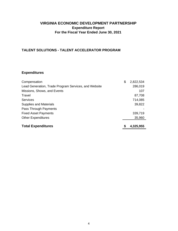## **TALENT SOLUTIONS - TALENT ACCELERATOR PROGRAM**

| Compensation                                         | \$<br>2,822,534 |
|------------------------------------------------------|-----------------|
| Lead Generation, Trade Program Services, and Website | 286,019         |
| Missions, Shows, and Events                          | 107             |
| Travel                                               | 87,708          |
| <b>Services</b>                                      | 714,085         |
| <b>Supplies and Materials</b>                        | 39,822          |
| Pass Through Payments                                |                 |
| <b>Fixed Asset Payments</b>                          | 339,719         |
| <b>Other Expenditures</b>                            | 35,960          |
| <b>Total Expenditures</b>                            | \$<br>4,325,955 |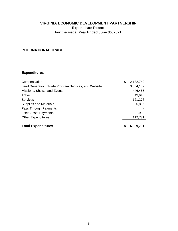# **INTERNATIONAL TRADE**

| Compensation                                         | \$ | 2,182,749 |
|------------------------------------------------------|----|-----------|
| Lead Generation, Trade Program Services, and Website |    | 3,854,152 |
| Missions, Shows, and Events                          |    | 446,465   |
| Travel                                               |    | 43,618    |
| <b>Services</b>                                      |    | 121,276   |
| <b>Supplies and Materials</b>                        |    | 6,806     |
| Pass Through Payments                                |    |           |
| <b>Fixed Asset Payments</b>                          |    | 221,993   |
| <b>Other Expenditures</b>                            |    | 112,731   |
|                                                      |    |           |
| <b>Total Expenditures</b>                            | S  | 6,989,791 |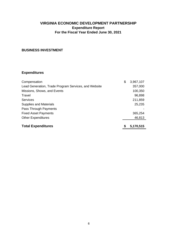#### **BUSINESS INVESTMENT**

| Compensation                                         | \$<br>3,967,107 |
|------------------------------------------------------|-----------------|
| Lead Generation, Trade Program Services, and Website | 357,000         |
| Missions, Shows, and Events                          | 100,350         |
| Travel                                               | 96,898          |
| <b>Services</b>                                      | 211,859         |
| <b>Supplies and Materials</b>                        | 25,235          |
| Pass Through Payments                                |                 |
| <b>Fixed Asset Payments</b>                          | 365,254         |
| <b>Other Expenditures</b>                            | 46,813          |
| <b>Total Expenditures</b>                            | \$<br>5,170,515 |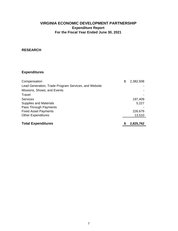#### **RESEARCH**

| Compensation                                         | \$ | 2,382,938 |
|------------------------------------------------------|----|-----------|
| Lead Generation, Trade Program Services, and Website |    |           |
| Missions, Shows, and Events                          |    |           |
| Travel                                               |    |           |
| <b>Services</b>                                      |    | 197,409   |
| <b>Supplies and Materials</b>                        |    | 5,227     |
| Pass Through Payments                                |    |           |
| <b>Fixed Asset Payments</b>                          |    | 226,679   |
| <b>Other Expenditures</b>                            |    | 13,510    |
|                                                      |    |           |
| <b>Total Expenditures</b>                            | S  | 2,825,762 |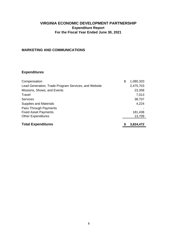#### **MARKETING AND COMMUNICATIONS**

| Compensation                                         | \$ | 1,080,320 |
|------------------------------------------------------|----|-----------|
| Lead Generation, Trade Program Services, and Website |    | 2,475,703 |
| Missions, Shows, and Events                          |    | 23,358    |
| Travel                                               |    | 7,013     |
| <b>Services</b>                                      |    | 38,707    |
| <b>Supplies and Materials</b>                        |    | 4,224     |
| Pass Through Payments                                |    |           |
| <b>Fixed Asset Payments</b>                          |    | 181,438   |
| <b>Other Expenditures</b>                            |    | 13,709    |
| <b>Total Expenditures</b>                            | S  | 3,824,472 |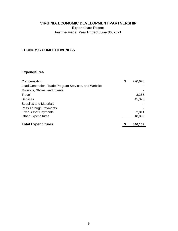#### **ECONOMIC COMPETITIVENESS**

| Compensation                                         | \$ | 720,620 |
|------------------------------------------------------|----|---------|
| Lead Generation, Trade Program Services, and Website |    |         |
| Missions, Shows, and Events                          |    |         |
| Travel                                               |    | 3,265   |
| Services                                             |    | 45,375  |
| <b>Supplies and Materials</b>                        |    |         |
| Pass Through Payments                                |    |         |
| <b>Fixed Asset Payments</b>                          |    | 52,011  |
| <b>Other Expenditures</b>                            |    | 18,869  |
|                                                      |    |         |
| <b>Total Expenditures</b>                            | S  | 840,139 |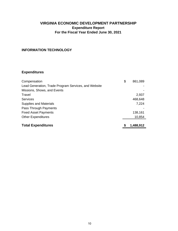#### **INFORMATION TECHNOLOGY**

| Compensation                                         | \$ | 861,089   |
|------------------------------------------------------|----|-----------|
| Lead Generation, Trade Program Services, and Website |    |           |
| Missions, Shows, and Events                          |    |           |
| Travel                                               |    | 2,937     |
| <b>Services</b>                                      |    | 468,648   |
| <b>Supplies and Materials</b>                        |    | 7,224     |
| Pass Through Payments                                |    |           |
| <b>Fixed Asset Payments</b>                          |    | 138,161   |
| <b>Other Expenditures</b>                            |    | 10,854    |
|                                                      |    |           |
| <b>Total Expenditures</b>                            | S  | 1,488,912 |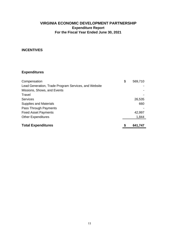#### **INCENTIVES**

| Compensation                                         | \$ | 569,710 |
|------------------------------------------------------|----|---------|
| Lead Generation, Trade Program Services, and Website |    |         |
| Missions, Shows, and Events                          |    |         |
| Travel                                               |    |         |
| Services                                             |    | 26,535  |
| <b>Supplies and Materials</b>                        |    | 660     |
| Pass Through Payments                                |    |         |
| <b>Fixed Asset Payments</b>                          |    | 42,997  |
| <b>Other Expenditures</b>                            |    | 1,844   |
|                                                      |    |         |
| <b>Total Expenditures</b>                            | S  | 641,747 |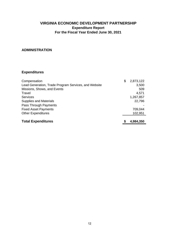#### **ADMINISTRATION**

| Compensation                                         | S | 2,873,122 |
|------------------------------------------------------|---|-----------|
| Lead Generation, Trade Program Services, and Website |   | 3,500     |
| Missions, Shows, and Events                          |   | 509       |
| Travel                                               |   | 4,571     |
| <b>Services</b>                                      |   | 1,267,857 |
| <b>Supplies and Materials</b>                        |   | 22,796    |
| Pass Through Payments                                |   |           |
| <b>Fixed Asset Payments</b>                          |   | 709,044   |
| <b>Other Expenditures</b>                            |   | 102,951   |
| <b>Total Expenditures</b>                            |   | 4,984,350 |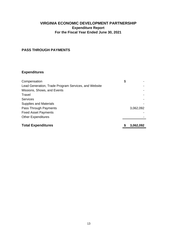#### **PASS THROUGH PAYMENTS**

| Compensation                                         | \$        |
|------------------------------------------------------|-----------|
| Lead Generation, Trade Program Services, and Website |           |
| Missions, Shows, and Events                          |           |
| Travel                                               |           |
| <b>Services</b>                                      |           |
| <b>Supplies and Materials</b>                        |           |
| Pass Through Payments                                | 3,062,092 |
| <b>Fixed Asset Payments</b>                          |           |
| <b>Other Expenditures</b>                            |           |
|                                                      |           |
| <b>Total Expenditures</b>                            | 3,062,092 |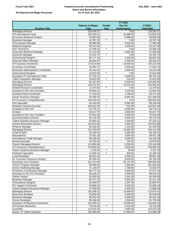Т

#### **Virginia Economic Development Partnership Salary and Bonus Information As of June 30, 2021**

**FY 2021**

|  |  |  |  | All Salaried and Wage Personnel |
|--|--|--|--|---------------------------------|
|--|--|--|--|---------------------------------|

| Paid<br><b>Performance</b><br><b>Position Title</b><br>Year<br><b>Total Paid</b><br><b>Managing Director</b><br>229,260.27<br>229,260.27<br>0.00<br>160,333.41<br>16,496.00<br>176,829.41<br><b>VP International Trade</b><br><b>Economic Research Analyst</b><br>4,989.00<br>59,856.83<br>54,867.83<br>42,787.19<br>$\star$<br>42,787.19<br><b>Business Manager</b><br>0.00<br><b>Procurement Manager</b><br>9,000.00<br>68,985.98<br>77,985.98<br>Network Engineer<br>53,147.55<br>2,000.00<br>55,147.55<br>$\star$<br><b>GIS Technician</b><br>41,508.23<br>0.00<br>41,508.23<br>Associate Business Manager<br>57,995.58<br>51,114.58<br>6,881.00<br>$\star$<br><b>Business Manager</b><br>19,193.75<br>0.00<br>19,193.75<br><b>Instructional Designer</b><br>85,177.16<br>1,649.00<br>86,826.16<br><b>External Affairs Manager</b><br>2,000.00<br>68,394.87<br>66,394.87<br><b>VP Business Investment</b><br>173,610.94<br>18,600.00<br>192,210.94<br><b>Incentives Coordinator</b><br>2,000.00<br>45,093.75<br>47,093.75<br>2,000.00<br><b>Executive Administrative Coordinator</b><br>52,314.04<br>54,314.04<br>$\star$<br>10,815.00<br>10,815.00<br>0.00<br><b>Instructional Designer</b><br>Assistant VP International Trade<br>97,703.13<br>2,000.00<br>99,703.13<br>$\star$<br><b>Talent Acquisition Manager</b><br>15,625.00<br>216.00<br>15,841.00<br>95,197.84<br>9,068.00<br>104,265.84<br><b>Managing Director</b><br>14,322.00<br><b>Managing Director</b><br>130,270.91<br>144,592.91<br>Global Research Coordinator<br>12,374.81<br>$\star$<br>0.00<br>12,374.81<br>Assistant to the Vice President<br>60,965.55<br>2,000.00<br>62,965.55<br>27,183.92<br>1,188.00<br>28,371.92<br>Facilities/Fleet Coordinator<br>Senior Business Manager<br>92,928.24<br>8.481.00<br>101,409.24<br><b>VP Economic Competitiveness</b><br>$\star$<br>106,540.02<br>0.00<br>106,540.02<br><b>GIS Specialist</b><br>68,145.95<br>66,145.95<br>2,000.00<br><b>Assistant General Counsel</b><br>126,022.46<br>$\star$<br>915.00<br>126,937.46<br>Assistant to the CIO<br>52,778.21<br>2,000.00<br>54,778.21<br>Analyst<br>54,617.75<br>2,000.00<br>56,617.75<br>Assistant to the Vice President<br>3,000.00<br>67,916.96<br>70,916.96<br>3,600.00<br><b>Communications Director</b><br>92,119.20<br>95,719.20<br><b>Talent Solutions Business Manager</b><br>82,820.31<br>4,400.00<br>87,220.31<br>2,000.00<br>Human Resources Director<br>101,813.99<br>103,813.99<br>Finance Manager<br>80,166.83<br>1,252.00<br>81,418.83<br><b>Managing Director</b><br>120,250.00<br>13,860.00<br>134,110.00<br>Chief of Staff<br>94,195.91<br>2,000.00<br>96,195.91<br>Receptionist<br>37,931.18<br>2,000.00<br>39,931.18<br>International Trade Manager<br>80,166.83<br>2,000.00<br>82,166.83<br>$\star$<br>197.00<br><b>Brand Associate</b><br>10,782.02<br>10,979.02<br>Interim Managing Director<br>112,904.66<br>6,250.00<br>119,154.66<br><b>VP Economic Competitiveness</b><br>133,955.02<br>2,000.00<br>135,955.02<br><b>Talent Solutions Business Manager</b><br>$\star$<br>63.00<br>3,787.33<br>3,724.33<br>$\star$<br>408.00<br>Outreach Specialist<br>12,928.24<br>13,336.24<br>2,000.00<br>96,801.49<br>98,801.49<br><b>Lead Developer</b><br>Sr. Economic Research Analyst<br>66,169.43<br>3,600.00<br>69,769.43<br><b>Executive Vice President</b><br>221,372.55<br>35,137.00<br>256,509.55<br>VALET Program Manager<br>99,595.62<br>2,000.00<br>101,595.62<br>Senior Marketing Manager<br>71,135.97<br>1,789.00<br>72,924.97<br><b>Incentives Coordination Manager</b><br>2,800.00<br>85,177.16<br>87,977.16<br>Assistant to the Vice President<br>2,000.00<br>66,109.12<br>68,109.12<br>62,635.50<br>1,901.00<br>64,536.50<br>Senior Analyst<br><b>Business Manager</b><br>85,177.16<br>5,834.00<br>91,011.16<br>1,397.00<br>81,459.97<br>50,809.23<br>2,000.00<br>4,400.00<br>67,586.59<br>100,208.41<br>13,666.00<br>53,026.64<br>2,000.00<br>5,000.00<br>85,352.49<br>1,559.00<br>80,166.83<br>142,045.31<br>12,000.00<br>$\star$<br>3,516.00<br>75,216.30<br>113,075.20<br>2,000.00<br>185,385.58<br>27,000.00 |                                          | <b>Salaries &amp; Wages</b> | <b>Partial</b> | FI ZUZI<br>Pay For | FY2021     |
|--------------------------------------------------------------------------------------------------------------------------------------------------------------------------------------------------------------------------------------------------------------------------------------------------------------------------------------------------------------------------------------------------------------------------------------------------------------------------------------------------------------------------------------------------------------------------------------------------------------------------------------------------------------------------------------------------------------------------------------------------------------------------------------------------------------------------------------------------------------------------------------------------------------------------------------------------------------------------------------------------------------------------------------------------------------------------------------------------------------------------------------------------------------------------------------------------------------------------------------------------------------------------------------------------------------------------------------------------------------------------------------------------------------------------------------------------------------------------------------------------------------------------------------------------------------------------------------------------------------------------------------------------------------------------------------------------------------------------------------------------------------------------------------------------------------------------------------------------------------------------------------------------------------------------------------------------------------------------------------------------------------------------------------------------------------------------------------------------------------------------------------------------------------------------------------------------------------------------------------------------------------------------------------------------------------------------------------------------------------------------------------------------------------------------------------------------------------------------------------------------------------------------------------------------------------------------------------------------------------------------------------------------------------------------------------------------------------------------------------------------------------------------------------------------------------------------------------------------------------------------------------------------------------------------------------------------------------------------------------------------------------------------------------------------------------------------------------------------------------------------------------------------------------------------------------------------------------------------------------------------------------------------------------------------------------------------------------------------------------------------------------------------------------------------------------------------------------------------------------------------------------------------------------------------------------------------------------------------------------------------------------------------------------------------------------------------------------------------------------------------------------------------------------------------------------------------------------------------------------------------------------------------------------------------------------------------------------------------------------------------------------------------------------------------------------------------------------------------------------------------|------------------------------------------|-----------------------------|----------------|--------------------|------------|
|                                                                                                                                                                                                                                                                                                                                                                                                                                                                                                                                                                                                                                                                                                                                                                                                                                                                                                                                                                                                                                                                                                                                                                                                                                                                                                                                                                                                                                                                                                                                                                                                                                                                                                                                                                                                                                                                                                                                                                                                                                                                                                                                                                                                                                                                                                                                                                                                                                                                                                                                                                                                                                                                                                                                                                                                                                                                                                                                                                                                                                                                                                                                                                                                                                                                                                                                                                                                                                                                                                                                                                                                                                                                                                                                                                                                                                                                                                                                                                                                                                                                                                                          |                                          |                             |                |                    |            |
|                                                                                                                                                                                                                                                                                                                                                                                                                                                                                                                                                                                                                                                                                                                                                                                                                                                                                                                                                                                                                                                                                                                                                                                                                                                                                                                                                                                                                                                                                                                                                                                                                                                                                                                                                                                                                                                                                                                                                                                                                                                                                                                                                                                                                                                                                                                                                                                                                                                                                                                                                                                                                                                                                                                                                                                                                                                                                                                                                                                                                                                                                                                                                                                                                                                                                                                                                                                                                                                                                                                                                                                                                                                                                                                                                                                                                                                                                                                                                                                                                                                                                                                          |                                          |                             |                |                    |            |
|                                                                                                                                                                                                                                                                                                                                                                                                                                                                                                                                                                                                                                                                                                                                                                                                                                                                                                                                                                                                                                                                                                                                                                                                                                                                                                                                                                                                                                                                                                                                                                                                                                                                                                                                                                                                                                                                                                                                                                                                                                                                                                                                                                                                                                                                                                                                                                                                                                                                                                                                                                                                                                                                                                                                                                                                                                                                                                                                                                                                                                                                                                                                                                                                                                                                                                                                                                                                                                                                                                                                                                                                                                                                                                                                                                                                                                                                                                                                                                                                                                                                                                                          |                                          |                             |                |                    |            |
|                                                                                                                                                                                                                                                                                                                                                                                                                                                                                                                                                                                                                                                                                                                                                                                                                                                                                                                                                                                                                                                                                                                                                                                                                                                                                                                                                                                                                                                                                                                                                                                                                                                                                                                                                                                                                                                                                                                                                                                                                                                                                                                                                                                                                                                                                                                                                                                                                                                                                                                                                                                                                                                                                                                                                                                                                                                                                                                                                                                                                                                                                                                                                                                                                                                                                                                                                                                                                                                                                                                                                                                                                                                                                                                                                                                                                                                                                                                                                                                                                                                                                                                          |                                          |                             |                |                    |            |
|                                                                                                                                                                                                                                                                                                                                                                                                                                                                                                                                                                                                                                                                                                                                                                                                                                                                                                                                                                                                                                                                                                                                                                                                                                                                                                                                                                                                                                                                                                                                                                                                                                                                                                                                                                                                                                                                                                                                                                                                                                                                                                                                                                                                                                                                                                                                                                                                                                                                                                                                                                                                                                                                                                                                                                                                                                                                                                                                                                                                                                                                                                                                                                                                                                                                                                                                                                                                                                                                                                                                                                                                                                                                                                                                                                                                                                                                                                                                                                                                                                                                                                                          |                                          |                             |                |                    |            |
|                                                                                                                                                                                                                                                                                                                                                                                                                                                                                                                                                                                                                                                                                                                                                                                                                                                                                                                                                                                                                                                                                                                                                                                                                                                                                                                                                                                                                                                                                                                                                                                                                                                                                                                                                                                                                                                                                                                                                                                                                                                                                                                                                                                                                                                                                                                                                                                                                                                                                                                                                                                                                                                                                                                                                                                                                                                                                                                                                                                                                                                                                                                                                                                                                                                                                                                                                                                                                                                                                                                                                                                                                                                                                                                                                                                                                                                                                                                                                                                                                                                                                                                          |                                          |                             |                |                    |            |
|                                                                                                                                                                                                                                                                                                                                                                                                                                                                                                                                                                                                                                                                                                                                                                                                                                                                                                                                                                                                                                                                                                                                                                                                                                                                                                                                                                                                                                                                                                                                                                                                                                                                                                                                                                                                                                                                                                                                                                                                                                                                                                                                                                                                                                                                                                                                                                                                                                                                                                                                                                                                                                                                                                                                                                                                                                                                                                                                                                                                                                                                                                                                                                                                                                                                                                                                                                                                                                                                                                                                                                                                                                                                                                                                                                                                                                                                                                                                                                                                                                                                                                                          |                                          |                             |                |                    |            |
|                                                                                                                                                                                                                                                                                                                                                                                                                                                                                                                                                                                                                                                                                                                                                                                                                                                                                                                                                                                                                                                                                                                                                                                                                                                                                                                                                                                                                                                                                                                                                                                                                                                                                                                                                                                                                                                                                                                                                                                                                                                                                                                                                                                                                                                                                                                                                                                                                                                                                                                                                                                                                                                                                                                                                                                                                                                                                                                                                                                                                                                                                                                                                                                                                                                                                                                                                                                                                                                                                                                                                                                                                                                                                                                                                                                                                                                                                                                                                                                                                                                                                                                          |                                          |                             |                |                    |            |
|                                                                                                                                                                                                                                                                                                                                                                                                                                                                                                                                                                                                                                                                                                                                                                                                                                                                                                                                                                                                                                                                                                                                                                                                                                                                                                                                                                                                                                                                                                                                                                                                                                                                                                                                                                                                                                                                                                                                                                                                                                                                                                                                                                                                                                                                                                                                                                                                                                                                                                                                                                                                                                                                                                                                                                                                                                                                                                                                                                                                                                                                                                                                                                                                                                                                                                                                                                                                                                                                                                                                                                                                                                                                                                                                                                                                                                                                                                                                                                                                                                                                                                                          |                                          |                             |                |                    |            |
|                                                                                                                                                                                                                                                                                                                                                                                                                                                                                                                                                                                                                                                                                                                                                                                                                                                                                                                                                                                                                                                                                                                                                                                                                                                                                                                                                                                                                                                                                                                                                                                                                                                                                                                                                                                                                                                                                                                                                                                                                                                                                                                                                                                                                                                                                                                                                                                                                                                                                                                                                                                                                                                                                                                                                                                                                                                                                                                                                                                                                                                                                                                                                                                                                                                                                                                                                                                                                                                                                                                                                                                                                                                                                                                                                                                                                                                                                                                                                                                                                                                                                                                          |                                          |                             |                |                    |            |
|                                                                                                                                                                                                                                                                                                                                                                                                                                                                                                                                                                                                                                                                                                                                                                                                                                                                                                                                                                                                                                                                                                                                                                                                                                                                                                                                                                                                                                                                                                                                                                                                                                                                                                                                                                                                                                                                                                                                                                                                                                                                                                                                                                                                                                                                                                                                                                                                                                                                                                                                                                                                                                                                                                                                                                                                                                                                                                                                                                                                                                                                                                                                                                                                                                                                                                                                                                                                                                                                                                                                                                                                                                                                                                                                                                                                                                                                                                                                                                                                                                                                                                                          |                                          |                             |                |                    |            |
|                                                                                                                                                                                                                                                                                                                                                                                                                                                                                                                                                                                                                                                                                                                                                                                                                                                                                                                                                                                                                                                                                                                                                                                                                                                                                                                                                                                                                                                                                                                                                                                                                                                                                                                                                                                                                                                                                                                                                                                                                                                                                                                                                                                                                                                                                                                                                                                                                                                                                                                                                                                                                                                                                                                                                                                                                                                                                                                                                                                                                                                                                                                                                                                                                                                                                                                                                                                                                                                                                                                                                                                                                                                                                                                                                                                                                                                                                                                                                                                                                                                                                                                          |                                          |                             |                |                    |            |
|                                                                                                                                                                                                                                                                                                                                                                                                                                                                                                                                                                                                                                                                                                                                                                                                                                                                                                                                                                                                                                                                                                                                                                                                                                                                                                                                                                                                                                                                                                                                                                                                                                                                                                                                                                                                                                                                                                                                                                                                                                                                                                                                                                                                                                                                                                                                                                                                                                                                                                                                                                                                                                                                                                                                                                                                                                                                                                                                                                                                                                                                                                                                                                                                                                                                                                                                                                                                                                                                                                                                                                                                                                                                                                                                                                                                                                                                                                                                                                                                                                                                                                                          |                                          |                             |                |                    |            |
|                                                                                                                                                                                                                                                                                                                                                                                                                                                                                                                                                                                                                                                                                                                                                                                                                                                                                                                                                                                                                                                                                                                                                                                                                                                                                                                                                                                                                                                                                                                                                                                                                                                                                                                                                                                                                                                                                                                                                                                                                                                                                                                                                                                                                                                                                                                                                                                                                                                                                                                                                                                                                                                                                                                                                                                                                                                                                                                                                                                                                                                                                                                                                                                                                                                                                                                                                                                                                                                                                                                                                                                                                                                                                                                                                                                                                                                                                                                                                                                                                                                                                                                          |                                          |                             |                |                    |            |
|                                                                                                                                                                                                                                                                                                                                                                                                                                                                                                                                                                                                                                                                                                                                                                                                                                                                                                                                                                                                                                                                                                                                                                                                                                                                                                                                                                                                                                                                                                                                                                                                                                                                                                                                                                                                                                                                                                                                                                                                                                                                                                                                                                                                                                                                                                                                                                                                                                                                                                                                                                                                                                                                                                                                                                                                                                                                                                                                                                                                                                                                                                                                                                                                                                                                                                                                                                                                                                                                                                                                                                                                                                                                                                                                                                                                                                                                                                                                                                                                                                                                                                                          |                                          |                             |                |                    |            |
|                                                                                                                                                                                                                                                                                                                                                                                                                                                                                                                                                                                                                                                                                                                                                                                                                                                                                                                                                                                                                                                                                                                                                                                                                                                                                                                                                                                                                                                                                                                                                                                                                                                                                                                                                                                                                                                                                                                                                                                                                                                                                                                                                                                                                                                                                                                                                                                                                                                                                                                                                                                                                                                                                                                                                                                                                                                                                                                                                                                                                                                                                                                                                                                                                                                                                                                                                                                                                                                                                                                                                                                                                                                                                                                                                                                                                                                                                                                                                                                                                                                                                                                          |                                          |                             |                |                    |            |
|                                                                                                                                                                                                                                                                                                                                                                                                                                                                                                                                                                                                                                                                                                                                                                                                                                                                                                                                                                                                                                                                                                                                                                                                                                                                                                                                                                                                                                                                                                                                                                                                                                                                                                                                                                                                                                                                                                                                                                                                                                                                                                                                                                                                                                                                                                                                                                                                                                                                                                                                                                                                                                                                                                                                                                                                                                                                                                                                                                                                                                                                                                                                                                                                                                                                                                                                                                                                                                                                                                                                                                                                                                                                                                                                                                                                                                                                                                                                                                                                                                                                                                                          |                                          |                             |                |                    |            |
|                                                                                                                                                                                                                                                                                                                                                                                                                                                                                                                                                                                                                                                                                                                                                                                                                                                                                                                                                                                                                                                                                                                                                                                                                                                                                                                                                                                                                                                                                                                                                                                                                                                                                                                                                                                                                                                                                                                                                                                                                                                                                                                                                                                                                                                                                                                                                                                                                                                                                                                                                                                                                                                                                                                                                                                                                                                                                                                                                                                                                                                                                                                                                                                                                                                                                                                                                                                                                                                                                                                                                                                                                                                                                                                                                                                                                                                                                                                                                                                                                                                                                                                          |                                          |                             |                |                    |            |
|                                                                                                                                                                                                                                                                                                                                                                                                                                                                                                                                                                                                                                                                                                                                                                                                                                                                                                                                                                                                                                                                                                                                                                                                                                                                                                                                                                                                                                                                                                                                                                                                                                                                                                                                                                                                                                                                                                                                                                                                                                                                                                                                                                                                                                                                                                                                                                                                                                                                                                                                                                                                                                                                                                                                                                                                                                                                                                                                                                                                                                                                                                                                                                                                                                                                                                                                                                                                                                                                                                                                                                                                                                                                                                                                                                                                                                                                                                                                                                                                                                                                                                                          |                                          |                             |                |                    |            |
|                                                                                                                                                                                                                                                                                                                                                                                                                                                                                                                                                                                                                                                                                                                                                                                                                                                                                                                                                                                                                                                                                                                                                                                                                                                                                                                                                                                                                                                                                                                                                                                                                                                                                                                                                                                                                                                                                                                                                                                                                                                                                                                                                                                                                                                                                                                                                                                                                                                                                                                                                                                                                                                                                                                                                                                                                                                                                                                                                                                                                                                                                                                                                                                                                                                                                                                                                                                                                                                                                                                                                                                                                                                                                                                                                                                                                                                                                                                                                                                                                                                                                                                          |                                          |                             |                |                    |            |
|                                                                                                                                                                                                                                                                                                                                                                                                                                                                                                                                                                                                                                                                                                                                                                                                                                                                                                                                                                                                                                                                                                                                                                                                                                                                                                                                                                                                                                                                                                                                                                                                                                                                                                                                                                                                                                                                                                                                                                                                                                                                                                                                                                                                                                                                                                                                                                                                                                                                                                                                                                                                                                                                                                                                                                                                                                                                                                                                                                                                                                                                                                                                                                                                                                                                                                                                                                                                                                                                                                                                                                                                                                                                                                                                                                                                                                                                                                                                                                                                                                                                                                                          |                                          |                             |                |                    |            |
|                                                                                                                                                                                                                                                                                                                                                                                                                                                                                                                                                                                                                                                                                                                                                                                                                                                                                                                                                                                                                                                                                                                                                                                                                                                                                                                                                                                                                                                                                                                                                                                                                                                                                                                                                                                                                                                                                                                                                                                                                                                                                                                                                                                                                                                                                                                                                                                                                                                                                                                                                                                                                                                                                                                                                                                                                                                                                                                                                                                                                                                                                                                                                                                                                                                                                                                                                                                                                                                                                                                                                                                                                                                                                                                                                                                                                                                                                                                                                                                                                                                                                                                          |                                          |                             |                |                    |            |
|                                                                                                                                                                                                                                                                                                                                                                                                                                                                                                                                                                                                                                                                                                                                                                                                                                                                                                                                                                                                                                                                                                                                                                                                                                                                                                                                                                                                                                                                                                                                                                                                                                                                                                                                                                                                                                                                                                                                                                                                                                                                                                                                                                                                                                                                                                                                                                                                                                                                                                                                                                                                                                                                                                                                                                                                                                                                                                                                                                                                                                                                                                                                                                                                                                                                                                                                                                                                                                                                                                                                                                                                                                                                                                                                                                                                                                                                                                                                                                                                                                                                                                                          |                                          |                             |                |                    |            |
|                                                                                                                                                                                                                                                                                                                                                                                                                                                                                                                                                                                                                                                                                                                                                                                                                                                                                                                                                                                                                                                                                                                                                                                                                                                                                                                                                                                                                                                                                                                                                                                                                                                                                                                                                                                                                                                                                                                                                                                                                                                                                                                                                                                                                                                                                                                                                                                                                                                                                                                                                                                                                                                                                                                                                                                                                                                                                                                                                                                                                                                                                                                                                                                                                                                                                                                                                                                                                                                                                                                                                                                                                                                                                                                                                                                                                                                                                                                                                                                                                                                                                                                          |                                          |                             |                |                    |            |
|                                                                                                                                                                                                                                                                                                                                                                                                                                                                                                                                                                                                                                                                                                                                                                                                                                                                                                                                                                                                                                                                                                                                                                                                                                                                                                                                                                                                                                                                                                                                                                                                                                                                                                                                                                                                                                                                                                                                                                                                                                                                                                                                                                                                                                                                                                                                                                                                                                                                                                                                                                                                                                                                                                                                                                                                                                                                                                                                                                                                                                                                                                                                                                                                                                                                                                                                                                                                                                                                                                                                                                                                                                                                                                                                                                                                                                                                                                                                                                                                                                                                                                                          |                                          |                             |                |                    |            |
|                                                                                                                                                                                                                                                                                                                                                                                                                                                                                                                                                                                                                                                                                                                                                                                                                                                                                                                                                                                                                                                                                                                                                                                                                                                                                                                                                                                                                                                                                                                                                                                                                                                                                                                                                                                                                                                                                                                                                                                                                                                                                                                                                                                                                                                                                                                                                                                                                                                                                                                                                                                                                                                                                                                                                                                                                                                                                                                                                                                                                                                                                                                                                                                                                                                                                                                                                                                                                                                                                                                                                                                                                                                                                                                                                                                                                                                                                                                                                                                                                                                                                                                          |                                          |                             |                |                    |            |
|                                                                                                                                                                                                                                                                                                                                                                                                                                                                                                                                                                                                                                                                                                                                                                                                                                                                                                                                                                                                                                                                                                                                                                                                                                                                                                                                                                                                                                                                                                                                                                                                                                                                                                                                                                                                                                                                                                                                                                                                                                                                                                                                                                                                                                                                                                                                                                                                                                                                                                                                                                                                                                                                                                                                                                                                                                                                                                                                                                                                                                                                                                                                                                                                                                                                                                                                                                                                                                                                                                                                                                                                                                                                                                                                                                                                                                                                                                                                                                                                                                                                                                                          |                                          |                             |                |                    |            |
|                                                                                                                                                                                                                                                                                                                                                                                                                                                                                                                                                                                                                                                                                                                                                                                                                                                                                                                                                                                                                                                                                                                                                                                                                                                                                                                                                                                                                                                                                                                                                                                                                                                                                                                                                                                                                                                                                                                                                                                                                                                                                                                                                                                                                                                                                                                                                                                                                                                                                                                                                                                                                                                                                                                                                                                                                                                                                                                                                                                                                                                                                                                                                                                                                                                                                                                                                                                                                                                                                                                                                                                                                                                                                                                                                                                                                                                                                                                                                                                                                                                                                                                          |                                          |                             |                |                    |            |
|                                                                                                                                                                                                                                                                                                                                                                                                                                                                                                                                                                                                                                                                                                                                                                                                                                                                                                                                                                                                                                                                                                                                                                                                                                                                                                                                                                                                                                                                                                                                                                                                                                                                                                                                                                                                                                                                                                                                                                                                                                                                                                                                                                                                                                                                                                                                                                                                                                                                                                                                                                                                                                                                                                                                                                                                                                                                                                                                                                                                                                                                                                                                                                                                                                                                                                                                                                                                                                                                                                                                                                                                                                                                                                                                                                                                                                                                                                                                                                                                                                                                                                                          |                                          |                             |                |                    |            |
|                                                                                                                                                                                                                                                                                                                                                                                                                                                                                                                                                                                                                                                                                                                                                                                                                                                                                                                                                                                                                                                                                                                                                                                                                                                                                                                                                                                                                                                                                                                                                                                                                                                                                                                                                                                                                                                                                                                                                                                                                                                                                                                                                                                                                                                                                                                                                                                                                                                                                                                                                                                                                                                                                                                                                                                                                                                                                                                                                                                                                                                                                                                                                                                                                                                                                                                                                                                                                                                                                                                                                                                                                                                                                                                                                                                                                                                                                                                                                                                                                                                                                                                          |                                          |                             |                |                    |            |
|                                                                                                                                                                                                                                                                                                                                                                                                                                                                                                                                                                                                                                                                                                                                                                                                                                                                                                                                                                                                                                                                                                                                                                                                                                                                                                                                                                                                                                                                                                                                                                                                                                                                                                                                                                                                                                                                                                                                                                                                                                                                                                                                                                                                                                                                                                                                                                                                                                                                                                                                                                                                                                                                                                                                                                                                                                                                                                                                                                                                                                                                                                                                                                                                                                                                                                                                                                                                                                                                                                                                                                                                                                                                                                                                                                                                                                                                                                                                                                                                                                                                                                                          |                                          |                             |                |                    |            |
|                                                                                                                                                                                                                                                                                                                                                                                                                                                                                                                                                                                                                                                                                                                                                                                                                                                                                                                                                                                                                                                                                                                                                                                                                                                                                                                                                                                                                                                                                                                                                                                                                                                                                                                                                                                                                                                                                                                                                                                                                                                                                                                                                                                                                                                                                                                                                                                                                                                                                                                                                                                                                                                                                                                                                                                                                                                                                                                                                                                                                                                                                                                                                                                                                                                                                                                                                                                                                                                                                                                                                                                                                                                                                                                                                                                                                                                                                                                                                                                                                                                                                                                          |                                          |                             |                |                    |            |
|                                                                                                                                                                                                                                                                                                                                                                                                                                                                                                                                                                                                                                                                                                                                                                                                                                                                                                                                                                                                                                                                                                                                                                                                                                                                                                                                                                                                                                                                                                                                                                                                                                                                                                                                                                                                                                                                                                                                                                                                                                                                                                                                                                                                                                                                                                                                                                                                                                                                                                                                                                                                                                                                                                                                                                                                                                                                                                                                                                                                                                                                                                                                                                                                                                                                                                                                                                                                                                                                                                                                                                                                                                                                                                                                                                                                                                                                                                                                                                                                                                                                                                                          |                                          |                             |                |                    |            |
|                                                                                                                                                                                                                                                                                                                                                                                                                                                                                                                                                                                                                                                                                                                                                                                                                                                                                                                                                                                                                                                                                                                                                                                                                                                                                                                                                                                                                                                                                                                                                                                                                                                                                                                                                                                                                                                                                                                                                                                                                                                                                                                                                                                                                                                                                                                                                                                                                                                                                                                                                                                                                                                                                                                                                                                                                                                                                                                                                                                                                                                                                                                                                                                                                                                                                                                                                                                                                                                                                                                                                                                                                                                                                                                                                                                                                                                                                                                                                                                                                                                                                                                          |                                          |                             |                |                    |            |
|                                                                                                                                                                                                                                                                                                                                                                                                                                                                                                                                                                                                                                                                                                                                                                                                                                                                                                                                                                                                                                                                                                                                                                                                                                                                                                                                                                                                                                                                                                                                                                                                                                                                                                                                                                                                                                                                                                                                                                                                                                                                                                                                                                                                                                                                                                                                                                                                                                                                                                                                                                                                                                                                                                                                                                                                                                                                                                                                                                                                                                                                                                                                                                                                                                                                                                                                                                                                                                                                                                                                                                                                                                                                                                                                                                                                                                                                                                                                                                                                                                                                                                                          |                                          |                             |                |                    |            |
|                                                                                                                                                                                                                                                                                                                                                                                                                                                                                                                                                                                                                                                                                                                                                                                                                                                                                                                                                                                                                                                                                                                                                                                                                                                                                                                                                                                                                                                                                                                                                                                                                                                                                                                                                                                                                                                                                                                                                                                                                                                                                                                                                                                                                                                                                                                                                                                                                                                                                                                                                                                                                                                                                                                                                                                                                                                                                                                                                                                                                                                                                                                                                                                                                                                                                                                                                                                                                                                                                                                                                                                                                                                                                                                                                                                                                                                                                                                                                                                                                                                                                                                          |                                          |                             |                |                    |            |
|                                                                                                                                                                                                                                                                                                                                                                                                                                                                                                                                                                                                                                                                                                                                                                                                                                                                                                                                                                                                                                                                                                                                                                                                                                                                                                                                                                                                                                                                                                                                                                                                                                                                                                                                                                                                                                                                                                                                                                                                                                                                                                                                                                                                                                                                                                                                                                                                                                                                                                                                                                                                                                                                                                                                                                                                                                                                                                                                                                                                                                                                                                                                                                                                                                                                                                                                                                                                                                                                                                                                                                                                                                                                                                                                                                                                                                                                                                                                                                                                                                                                                                                          |                                          |                             |                |                    |            |
|                                                                                                                                                                                                                                                                                                                                                                                                                                                                                                                                                                                                                                                                                                                                                                                                                                                                                                                                                                                                                                                                                                                                                                                                                                                                                                                                                                                                                                                                                                                                                                                                                                                                                                                                                                                                                                                                                                                                                                                                                                                                                                                                                                                                                                                                                                                                                                                                                                                                                                                                                                                                                                                                                                                                                                                                                                                                                                                                                                                                                                                                                                                                                                                                                                                                                                                                                                                                                                                                                                                                                                                                                                                                                                                                                                                                                                                                                                                                                                                                                                                                                                                          |                                          |                             |                |                    |            |
|                                                                                                                                                                                                                                                                                                                                                                                                                                                                                                                                                                                                                                                                                                                                                                                                                                                                                                                                                                                                                                                                                                                                                                                                                                                                                                                                                                                                                                                                                                                                                                                                                                                                                                                                                                                                                                                                                                                                                                                                                                                                                                                                                                                                                                                                                                                                                                                                                                                                                                                                                                                                                                                                                                                                                                                                                                                                                                                                                                                                                                                                                                                                                                                                                                                                                                                                                                                                                                                                                                                                                                                                                                                                                                                                                                                                                                                                                                                                                                                                                                                                                                                          |                                          |                             |                |                    |            |
|                                                                                                                                                                                                                                                                                                                                                                                                                                                                                                                                                                                                                                                                                                                                                                                                                                                                                                                                                                                                                                                                                                                                                                                                                                                                                                                                                                                                                                                                                                                                                                                                                                                                                                                                                                                                                                                                                                                                                                                                                                                                                                                                                                                                                                                                                                                                                                                                                                                                                                                                                                                                                                                                                                                                                                                                                                                                                                                                                                                                                                                                                                                                                                                                                                                                                                                                                                                                                                                                                                                                                                                                                                                                                                                                                                                                                                                                                                                                                                                                                                                                                                                          |                                          |                             |                |                    |            |
|                                                                                                                                                                                                                                                                                                                                                                                                                                                                                                                                                                                                                                                                                                                                                                                                                                                                                                                                                                                                                                                                                                                                                                                                                                                                                                                                                                                                                                                                                                                                                                                                                                                                                                                                                                                                                                                                                                                                                                                                                                                                                                                                                                                                                                                                                                                                                                                                                                                                                                                                                                                                                                                                                                                                                                                                                                                                                                                                                                                                                                                                                                                                                                                                                                                                                                                                                                                                                                                                                                                                                                                                                                                                                                                                                                                                                                                                                                                                                                                                                                                                                                                          |                                          |                             |                |                    |            |
|                                                                                                                                                                                                                                                                                                                                                                                                                                                                                                                                                                                                                                                                                                                                                                                                                                                                                                                                                                                                                                                                                                                                                                                                                                                                                                                                                                                                                                                                                                                                                                                                                                                                                                                                                                                                                                                                                                                                                                                                                                                                                                                                                                                                                                                                                                                                                                                                                                                                                                                                                                                                                                                                                                                                                                                                                                                                                                                                                                                                                                                                                                                                                                                                                                                                                                                                                                                                                                                                                                                                                                                                                                                                                                                                                                                                                                                                                                                                                                                                                                                                                                                          |                                          |                             |                |                    |            |
|                                                                                                                                                                                                                                                                                                                                                                                                                                                                                                                                                                                                                                                                                                                                                                                                                                                                                                                                                                                                                                                                                                                                                                                                                                                                                                                                                                                                                                                                                                                                                                                                                                                                                                                                                                                                                                                                                                                                                                                                                                                                                                                                                                                                                                                                                                                                                                                                                                                                                                                                                                                                                                                                                                                                                                                                                                                                                                                                                                                                                                                                                                                                                                                                                                                                                                                                                                                                                                                                                                                                                                                                                                                                                                                                                                                                                                                                                                                                                                                                                                                                                                                          |                                          |                             |                |                    |            |
|                                                                                                                                                                                                                                                                                                                                                                                                                                                                                                                                                                                                                                                                                                                                                                                                                                                                                                                                                                                                                                                                                                                                                                                                                                                                                                                                                                                                                                                                                                                                                                                                                                                                                                                                                                                                                                                                                                                                                                                                                                                                                                                                                                                                                                                                                                                                                                                                                                                                                                                                                                                                                                                                                                                                                                                                                                                                                                                                                                                                                                                                                                                                                                                                                                                                                                                                                                                                                                                                                                                                                                                                                                                                                                                                                                                                                                                                                                                                                                                                                                                                                                                          |                                          |                             |                |                    |            |
|                                                                                                                                                                                                                                                                                                                                                                                                                                                                                                                                                                                                                                                                                                                                                                                                                                                                                                                                                                                                                                                                                                                                                                                                                                                                                                                                                                                                                                                                                                                                                                                                                                                                                                                                                                                                                                                                                                                                                                                                                                                                                                                                                                                                                                                                                                                                                                                                                                                                                                                                                                                                                                                                                                                                                                                                                                                                                                                                                                                                                                                                                                                                                                                                                                                                                                                                                                                                                                                                                                                                                                                                                                                                                                                                                                                                                                                                                                                                                                                                                                                                                                                          |                                          |                             |                |                    |            |
|                                                                                                                                                                                                                                                                                                                                                                                                                                                                                                                                                                                                                                                                                                                                                                                                                                                                                                                                                                                                                                                                                                                                                                                                                                                                                                                                                                                                                                                                                                                                                                                                                                                                                                                                                                                                                                                                                                                                                                                                                                                                                                                                                                                                                                                                                                                                                                                                                                                                                                                                                                                                                                                                                                                                                                                                                                                                                                                                                                                                                                                                                                                                                                                                                                                                                                                                                                                                                                                                                                                                                                                                                                                                                                                                                                                                                                                                                                                                                                                                                                                                                                                          |                                          |                             |                |                    |            |
|                                                                                                                                                                                                                                                                                                                                                                                                                                                                                                                                                                                                                                                                                                                                                                                                                                                                                                                                                                                                                                                                                                                                                                                                                                                                                                                                                                                                                                                                                                                                                                                                                                                                                                                                                                                                                                                                                                                                                                                                                                                                                                                                                                                                                                                                                                                                                                                                                                                                                                                                                                                                                                                                                                                                                                                                                                                                                                                                                                                                                                                                                                                                                                                                                                                                                                                                                                                                                                                                                                                                                                                                                                                                                                                                                                                                                                                                                                                                                                                                                                                                                                                          |                                          |                             |                |                    |            |
|                                                                                                                                                                                                                                                                                                                                                                                                                                                                                                                                                                                                                                                                                                                                                                                                                                                                                                                                                                                                                                                                                                                                                                                                                                                                                                                                                                                                                                                                                                                                                                                                                                                                                                                                                                                                                                                                                                                                                                                                                                                                                                                                                                                                                                                                                                                                                                                                                                                                                                                                                                                                                                                                                                                                                                                                                                                                                                                                                                                                                                                                                                                                                                                                                                                                                                                                                                                                                                                                                                                                                                                                                                                                                                                                                                                                                                                                                                                                                                                                                                                                                                                          |                                          |                             |                |                    |            |
|                                                                                                                                                                                                                                                                                                                                                                                                                                                                                                                                                                                                                                                                                                                                                                                                                                                                                                                                                                                                                                                                                                                                                                                                                                                                                                                                                                                                                                                                                                                                                                                                                                                                                                                                                                                                                                                                                                                                                                                                                                                                                                                                                                                                                                                                                                                                                                                                                                                                                                                                                                                                                                                                                                                                                                                                                                                                                                                                                                                                                                                                                                                                                                                                                                                                                                                                                                                                                                                                                                                                                                                                                                                                                                                                                                                                                                                                                                                                                                                                                                                                                                                          |                                          |                             |                |                    |            |
|                                                                                                                                                                                                                                                                                                                                                                                                                                                                                                                                                                                                                                                                                                                                                                                                                                                                                                                                                                                                                                                                                                                                                                                                                                                                                                                                                                                                                                                                                                                                                                                                                                                                                                                                                                                                                                                                                                                                                                                                                                                                                                                                                                                                                                                                                                                                                                                                                                                                                                                                                                                                                                                                                                                                                                                                                                                                                                                                                                                                                                                                                                                                                                                                                                                                                                                                                                                                                                                                                                                                                                                                                                                                                                                                                                                                                                                                                                                                                                                                                                                                                                                          |                                          |                             |                |                    |            |
|                                                                                                                                                                                                                                                                                                                                                                                                                                                                                                                                                                                                                                                                                                                                                                                                                                                                                                                                                                                                                                                                                                                                                                                                                                                                                                                                                                                                                                                                                                                                                                                                                                                                                                                                                                                                                                                                                                                                                                                                                                                                                                                                                                                                                                                                                                                                                                                                                                                                                                                                                                                                                                                                                                                                                                                                                                                                                                                                                                                                                                                                                                                                                                                                                                                                                                                                                                                                                                                                                                                                                                                                                                                                                                                                                                                                                                                                                                                                                                                                                                                                                                                          |                                          |                             |                |                    |            |
|                                                                                                                                                                                                                                                                                                                                                                                                                                                                                                                                                                                                                                                                                                                                                                                                                                                                                                                                                                                                                                                                                                                                                                                                                                                                                                                                                                                                                                                                                                                                                                                                                                                                                                                                                                                                                                                                                                                                                                                                                                                                                                                                                                                                                                                                                                                                                                                                                                                                                                                                                                                                                                                                                                                                                                                                                                                                                                                                                                                                                                                                                                                                                                                                                                                                                                                                                                                                                                                                                                                                                                                                                                                                                                                                                                                                                                                                                                                                                                                                                                                                                                                          | <b>Instructional Designer</b>            |                             |                |                    | 82,856.97  |
|                                                                                                                                                                                                                                                                                                                                                                                                                                                                                                                                                                                                                                                                                                                                                                                                                                                                                                                                                                                                                                                                                                                                                                                                                                                                                                                                                                                                                                                                                                                                                                                                                                                                                                                                                                                                                                                                                                                                                                                                                                                                                                                                                                                                                                                                                                                                                                                                                                                                                                                                                                                                                                                                                                                                                                                                                                                                                                                                                                                                                                                                                                                                                                                                                                                                                                                                                                                                                                                                                                                                                                                                                                                                                                                                                                                                                                                                                                                                                                                                                                                                                                                          | PC Support Technician                    |                             |                |                    | 52,809.23  |
|                                                                                                                                                                                                                                                                                                                                                                                                                                                                                                                                                                                                                                                                                                                                                                                                                                                                                                                                                                                                                                                                                                                                                                                                                                                                                                                                                                                                                                                                                                                                                                                                                                                                                                                                                                                                                                                                                                                                                                                                                                                                                                                                                                                                                                                                                                                                                                                                                                                                                                                                                                                                                                                                                                                                                                                                                                                                                                                                                                                                                                                                                                                                                                                                                                                                                                                                                                                                                                                                                                                                                                                                                                                                                                                                                                                                                                                                                                                                                                                                                                                                                                                          | <b>Talent Solutions Business Manager</b> |                             |                |                    | 71,986.59  |
|                                                                                                                                                                                                                                                                                                                                                                                                                                                                                                                                                                                                                                                                                                                                                                                                                                                                                                                                                                                                                                                                                                                                                                                                                                                                                                                                                                                                                                                                                                                                                                                                                                                                                                                                                                                                                                                                                                                                                                                                                                                                                                                                                                                                                                                                                                                                                                                                                                                                                                                                                                                                                                                                                                                                                                                                                                                                                                                                                                                                                                                                                                                                                                                                                                                                                                                                                                                                                                                                                                                                                                                                                                                                                                                                                                                                                                                                                                                                                                                                                                                                                                                          | <b>Managing Director</b>                 |                             |                |                    | 113,874.41 |
|                                                                                                                                                                                                                                                                                                                                                                                                                                                                                                                                                                                                                                                                                                                                                                                                                                                                                                                                                                                                                                                                                                                                                                                                                                                                                                                                                                                                                                                                                                                                                                                                                                                                                                                                                                                                                                                                                                                                                                                                                                                                                                                                                                                                                                                                                                                                                                                                                                                                                                                                                                                                                                                                                                                                                                                                                                                                                                                                                                                                                                                                                                                                                                                                                                                                                                                                                                                                                                                                                                                                                                                                                                                                                                                                                                                                                                                                                                                                                                                                                                                                                                                          | <b>Executive Assistant</b>               |                             |                |                    | 55,026.64  |
|                                                                                                                                                                                                                                                                                                                                                                                                                                                                                                                                                                                                                                                                                                                                                                                                                                                                                                                                                                                                                                                                                                                                                                                                                                                                                                                                                                                                                                                                                                                                                                                                                                                                                                                                                                                                                                                                                                                                                                                                                                                                                                                                                                                                                                                                                                                                                                                                                                                                                                                                                                                                                                                                                                                                                                                                                                                                                                                                                                                                                                                                                                                                                                                                                                                                                                                                                                                                                                                                                                                                                                                                                                                                                                                                                                                                                                                                                                                                                                                                                                                                                                                          | <b>Business Manager</b>                  |                             |                |                    | 90,352.49  |
|                                                                                                                                                                                                                                                                                                                                                                                                                                                                                                                                                                                                                                                                                                                                                                                                                                                                                                                                                                                                                                                                                                                                                                                                                                                                                                                                                                                                                                                                                                                                                                                                                                                                                                                                                                                                                                                                                                                                                                                                                                                                                                                                                                                                                                                                                                                                                                                                                                                                                                                                                                                                                                                                                                                                                                                                                                                                                                                                                                                                                                                                                                                                                                                                                                                                                                                                                                                                                                                                                                                                                                                                                                                                                                                                                                                                                                                                                                                                                                                                                                                                                                                          | Senior Developer                         |                             |                |                    | 81,725.83  |
|                                                                                                                                                                                                                                                                                                                                                                                                                                                                                                                                                                                                                                                                                                                                                                                                                                                                                                                                                                                                                                                                                                                                                                                                                                                                                                                                                                                                                                                                                                                                                                                                                                                                                                                                                                                                                                                                                                                                                                                                                                                                                                                                                                                                                                                                                                                                                                                                                                                                                                                                                                                                                                                                                                                                                                                                                                                                                                                                                                                                                                                                                                                                                                                                                                                                                                                                                                                                                                                                                                                                                                                                                                                                                                                                                                                                                                                                                                                                                                                                                                                                                                                          | Assistant VP Business Investment         |                             |                |                    | 154,045.31 |
|                                                                                                                                                                                                                                                                                                                                                                                                                                                                                                                                                                                                                                                                                                                                                                                                                                                                                                                                                                                                                                                                                                                                                                                                                                                                                                                                                                                                                                                                                                                                                                                                                                                                                                                                                                                                                                                                                                                                                                                                                                                                                                                                                                                                                                                                                                                                                                                                                                                                                                                                                                                                                                                                                                                                                                                                                                                                                                                                                                                                                                                                                                                                                                                                                                                                                                                                                                                                                                                                                                                                                                                                                                                                                                                                                                                                                                                                                                                                                                                                                                                                                                                          | VP Human Resources                       |                             |                |                    | 78,732.30  |
|                                                                                                                                                                                                                                                                                                                                                                                                                                                                                                                                                                                                                                                                                                                                                                                                                                                                                                                                                                                                                                                                                                                                                                                                                                                                                                                                                                                                                                                                                                                                                                                                                                                                                                                                                                                                                                                                                                                                                                                                                                                                                                                                                                                                                                                                                                                                                                                                                                                                                                                                                                                                                                                                                                                                                                                                                                                                                                                                                                                                                                                                                                                                                                                                                                                                                                                                                                                                                                                                                                                                                                                                                                                                                                                                                                                                                                                                                                                                                                                                                                                                                                                          | Controller                               |                             |                |                    | 115,075.20 |
|                                                                                                                                                                                                                                                                                                                                                                                                                                                                                                                                                                                                                                                                                                                                                                                                                                                                                                                                                                                                                                                                                                                                                                                                                                                                                                                                                                                                                                                                                                                                                                                                                                                                                                                                                                                                                                                                                                                                                                                                                                                                                                                                                                                                                                                                                                                                                                                                                                                                                                                                                                                                                                                                                                                                                                                                                                                                                                                                                                                                                                                                                                                                                                                                                                                                                                                                                                                                                                                                                                                                                                                                                                                                                                                                                                                                                                                                                                                                                                                                                                                                                                                          | Senior VP Talent Solutions               |                             |                |                    | 212,385.58 |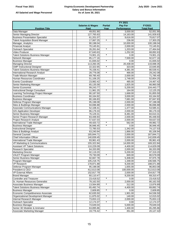Т

#### **Virginia Economic Development Partnership Salary and Bonus Information As of June 30, 2021**

|  |  |  |  | All Salaried and Wage Personnel |
|--|--|--|--|---------------------------------|
|--|--|--|--|---------------------------------|

|                                                                       | <b>FY 2021</b>              |                |                        |                        |  |
|-----------------------------------------------------------------------|-----------------------------|----------------|------------------------|------------------------|--|
|                                                                       | <b>Salaries &amp; Wages</b> | <b>Partial</b> | <b>Pay For</b>         | FY2021                 |  |
| <b>Position Title</b>                                                 | Paid                        | Year           | <b>Performance</b>     | <b>Total Paid</b>      |  |
| Data Manager                                                          | 49,051.90                   |                | 3,000.00               | 52,051.90              |  |
| <b>Senior Managing Director</b>                                       | 127,765.63                  |                | 14,163.00              | 141,928.63             |  |
| <b>Business Presentation Specialist</b>                               | 61,201.07                   |                | 9,616.00               | 70,817.07              |  |
| <b>Talent Acquisition Brand Manager</b>                               | $\overline{17},067.25$      | $\star$        | 236.00                 | 17,303.25              |  |
| Manager, Analytics                                                    | 90,198.04                   |                | 10,000.00              | 100,198.04             |  |
| <b>Financial Analyst</b>                                              | 70,145.91                   |                | 2,000.00               | 72,145.91              |  |
| <b>Outreach Specialist</b>                                            | 26,261.64                   | $\star$        | 1,203.00               | 27,464.64              |  |
| Video Producer                                                        | 67,640.63                   |                | 1,252.00               | 68,892.63              |  |
| <b>Talent Solutions Business Manager</b>                              | 74,901.15                   | $\star$        | 0.00                   | 74,901.15              |  |
| Network Manager                                                       | 85,177.16                   |                | 7,500.00               | 92,677.16              |  |
| <b>Business Manager</b>                                               | 41,835.02                   | $\star$        | 0.00                   | 41,835.02              |  |
| <b>Managing Director</b>                                              | 113,260.35                  | $\star$        | 20,438.00              | 133,698.35             |  |
| <b>GMP Instructional Designer</b>                                     | 22,322.65                   |                | 323.00                 | 22,645.65              |  |
| <b>Talent Solutions Business Manager</b>                              | 76,158.41                   | $\star$        | 4,381.00               | 80,539.41              |  |
| <b>International Research Analyst</b><br><b>Trade Mission Manager</b> | 28,776.08                   |                | 466.00                 | 29,242.08<br>71,785.40 |  |
| Human Resources Coordinator                                           | 69,785.40<br>51,106.25      |                | 2,000.00<br>1,748.00   | 52,854.25              |  |
| <b>Events Coordinator</b>                                             | 23,982.42                   | $\star$        | 485.00                 | 24,467.42              |  |
| Senior Marketing Manager                                              | 65,135.58                   |                | 1,825.00               | 66,960.58              |  |
| Senior Economist                                                      | 99,243.77                   |                | 5,200.00               | 104,443.77             |  |
| <b>Instructional Design Consultant</b>                                | 11,961.25                   | $\star$        | 164.00                 | 12,125.25              |  |
| Learning Technology Project Manager                                   | 90,187.50                   |                | 1,668.00               | 91,855.50              |  |
| <b>Business Coordinator</b>                                           | 60,164.92                   |                | 3,000.00               | 63,164.92              |  |
| <b>Business Manager</b>                                               | 80,166.83                   |                | 7,681.00               | 87,847.83              |  |
| Defense Program Manager                                               | 95,198.08                   |                | 2,000.00               | 97,198.08              |  |
| Sites & Buildings Manager                                             | 94,696.88                   |                | 2,000.00               | 96,696.88              |  |
| <b>Associate Communications Manager</b>                               | 52,108.41                   |                | 1,477.00               | 53,585.41              |  |
| <b>GIS Application Developer</b>                                      | 86,179.33                   |                | 2,000.00               | 88,179.33              |  |
| Senior Business Manager                                               | 76,129.31                   |                | 8,481.00               | 84,610.31              |  |
| Senior Project Research Manager                                       | 83,448.93                   |                | 2,000.00               | 85,448.93              |  |
| Project Research Analyst                                              | 57,637.03                   |                | 2,000.00               | 59,637.03              |  |
| <b>International Trade Manager</b>                                    | 49,420.72                   | $\star$        | 562.00                 | 49,982.72              |  |
| <b>Business Manager</b>                                               | 36,946.45                   | $\star$        | 0.00                   | 36,946.45              |  |
| <b>Instructional Designer</b>                                         | 72,785.53                   |                | 1,342.00               | 74,127.53              |  |
| Sites & Buildings Analyst                                             | 63,240.94                   |                | 1,866.00               | 65,106.94              |  |
| <b>General Counsel</b>                                                | 165,844.71                  |                | 2,000.00               | 167,844.71             |  |
| <b>Chief Information Officer</b>                                      | 140,839.45                  |                | 2,000.00               | 142,839.45             |  |
| International Trade Manager                                           | 93,961.43                   |                | 2,000.00               | 95,961.43              |  |
| VP Marketing & Communications                                         | 155,322.84                  |                | 14,000.00              | 169,322.84             |  |
| <b>Assistant VP Talent Solutions</b>                                  | 110,229.09                  |                | 4,400.00               | 114,629.09             |  |
| <b>Research Specialist</b>                                            | 64,333.99                   |                | 2,000.00               | 66,333.99              |  |
| <b>Marketing Director</b>                                             | 92,119.20                   |                | 5,200.00               | 97,319.20              |  |
| VALET Program Manager                                                 | 79,730.09                   | $\star$        | 849.00                 | 80,579.09              |  |
| Senior Business Manager                                               | 92,667.78                   |                | 5,308.00               | 97,975.78              |  |
| Program Manager                                                       | 105,218.75                  |                | 1,348.00               | 106,566.75             |  |
| <b>VP Research</b>                                                    | 178,871.88                  |                | 9,200.00               | 188,071.88             |  |
| Defense Program Manager                                               | 95,198.08                   |                | 1,655.00<br>100,000.00 | 96,853.08              |  |
| President & CEO<br><b>VP External Affairs</b>                         | 412,613.08                  |                |                        | 512,613.08             |  |
| <b>Brand Manager</b>                                                  | 152,817.79                  |                | 2,000.00<br>9,200.00   | 154,817.79             |  |
| <b>Controller and Treasurer</b>                                       | 60,110.47<br>23,418.52      | $\star$        | 0.00                   | 69,310.47<br>23,418.52 |  |
| Sr. Human Resources Generalist                                        | 78,162.50                   |                | 2,000.00               | 80,162.50              |  |
| Associate Business Manager                                            | 13,564.89                   | $\star$        | 312.00                 | 13,876.89              |  |
| <b>Talent Solutions Business Manager</b>                              | 65,492.74                   |                | 4,400.00               | 69,892.74              |  |
| <b>Business Manager</b>                                               | 2,609.85                    | $\star$        | 0.00                   | 2,609.85               |  |
| Economic Competitiveness Associate                                    | 62,635.50                   |                | 1,901.00               | 64,536.50              |  |
| Organizational Development Manager                                    | 11,875.02                   | $\star$        | 140.00                 | 12,015.02              |  |
| Internal Research Manager                                             | 73,653.13                   |                | 2,000.00               | 75,653.13              |  |
| Outreach Specialist                                                   | 12,174.37                   | $\star$        | 0.00                   | 12,174.37              |  |
| <b>Business Manager</b>                                               | 74,649.04                   |                | 5,000.00               | 79,649.04              |  |
| Senior 3D Modeler & Animator                                          | 63,895.86                   |                | 1,400.00               | 65,295.86              |  |
| Associate Marketing Manager                                           | 19,776.42                   | $\star$        | 351.00                 | 20,127.42              |  |
|                                                                       |                             |                |                        |                        |  |